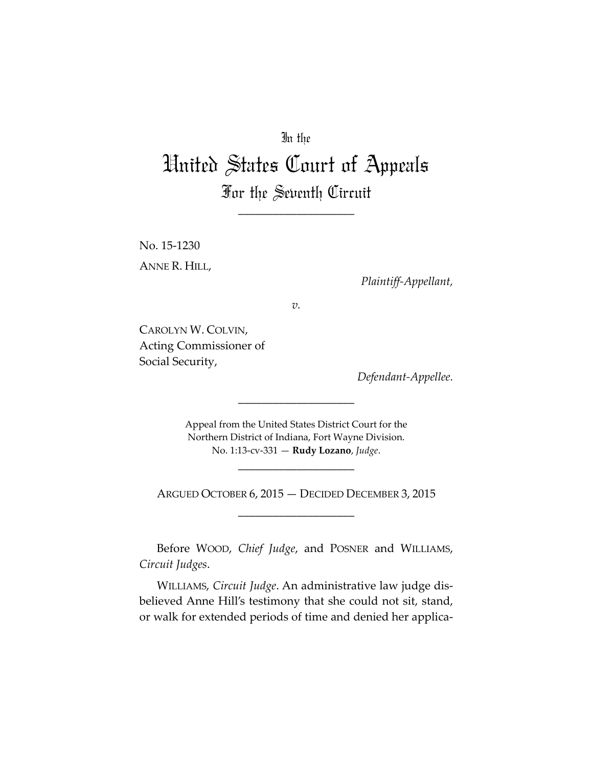# In the

# United States Court of Appeals For the Seventh Circuit

\_\_\_\_\_\_\_\_\_\_\_\_\_\_\_\_\_\_\_\_

No. 15‐1230 ANNE R. HILL,

*Plaintiff‐Appellant,*

*v.*

CAROLYN W. COLVIN, Acting Commissioner of Social Security,

*Defendant‐Appellee.*

Appeal from the United States District Court for the Northern District of Indiana, Fort Wayne Division. No. 1:13‐cv‐331 — **Rudy Lozano**, *Judge*.

\_\_\_\_\_\_\_\_\_\_\_\_\_\_\_\_\_\_\_\_

\_\_\_\_\_\_\_\_\_\_\_\_\_\_\_\_\_\_\_\_

ARGUED OCTOBER 6, 2015 — DECIDED DECEMBER 3, 2015 \_\_\_\_\_\_\_\_\_\_\_\_\_\_\_\_\_\_\_\_

Before WOOD, *Chief Judge*, and POSNER and WILLIAMS, *Circuit Judges*.

WILLIAMS, *Circuit Judge*. An administrative law judge dis‐ believed Anne Hill's testimony that she could not sit, stand, or walk for extended periods of time and denied her applica‐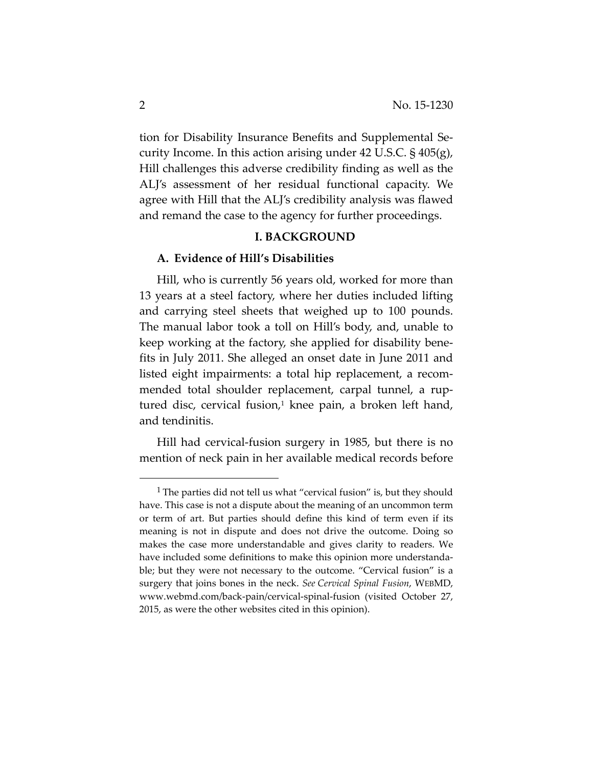tion for Disability Insurance Benefits and Supplemental Se‐ curity Income. In this action arising under 42 U.S.C.  $\S$  405(g), Hill challenges this adverse credibility finding as well as the ALJ's assessment of her residual functional capacity. We agree with Hill that the ALJ's credibility analysis was flawed and remand the case to the agency for further proceedings.

## **I. BACKGROUND**

#### **A. Evidence of Hill's Disabilities**

Hill, who is currently 56 years old, worked for more than 13 years at a steel factory, where her duties included lifting and carrying steel sheets that weighed up to 100 pounds. The manual labor took a toll on Hill's body, and, unable to keep working at the factory, she applied for disability bene‐ fits in July 2011. She alleged an onset date in June 2011 and listed eight impairments: a total hip replacement, a recom‐ mended total shoulder replacement, carpal tunnel, a ruptured disc, cervical fusion, $1$  knee pain, a broken left hand, and tendinitis.

Hill had cervical-fusion surgery in 1985, but there is no mention of neck pain in her available medical records before

<sup>&</sup>lt;sup>1</sup> The parties did not tell us what "cervical fusion" is, but they should have. This case is not a dispute about the meaning of an uncommon term or term of art. But parties should define this kind of term even if its meaning is not in dispute and does not drive the outcome. Doing so makes the case more understandable and gives clarity to readers. We have included some definitions to make this opinion more understandable; but they were not necessary to the outcome. "Cervical fusion" is a surgery that joins bones in the neck. *See Cervical Spinal Fusion*, WEBMD, www.webmd.com/back‐pain/cervical‐spinal‐fusion (visited October 27, 2015, as were the other websites cited in this opinion).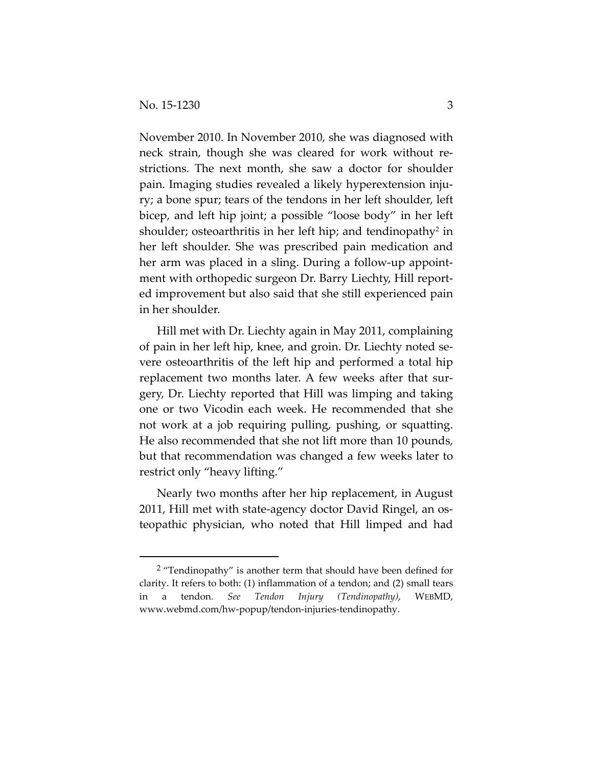November 2010. In November 2010, she was diagnosed with neck strain, though she was cleared for work without re‐ strictions. The next month, she saw a doctor for shoulder pain. Imaging studies revealed a likely hyperextension inju‐ ry; a bone spur; tears of the tendons in her left shoulder, left bicep, and left hip joint; a possible "loose body" in her left shoulder; osteoarthritis in her left hip; and tendinopathy<sup>2</sup> in her left shoulder. She was prescribed pain medication and her arm was placed in a sling. During a follow‐up appoint‐ ment with orthopedic surgeon Dr. Barry Liechty, Hill report‐ ed improvement but also said that she still experienced pain in her shoulder.

Hill met with Dr. Liechty again in May 2011, complaining of pain in her left hip, knee, and groin. Dr. Liechty noted se‐ vere osteoarthritis of the left hip and performed a total hip replacement two months later. A few weeks after that surgery, Dr. Liechty reported that Hill was limping and taking one or two Vicodin each week. He recommended that she not work at a job requiring pulling, pushing, or squatting. He also recommended that she not lift more than 10 pounds, but that recommendation was changed a few weeks later to restrict only "heavy lifting."

Nearly two months after her hip replacement, in August 2011, Hill met with state‐agency doctor David Ringel, an os‐ teopathic physician, who noted that Hill limped and had

 $2$  "Tendinopathy" is another term that should have been defined for clarity. It refers to both: (1) inflammation of a tendon; and (2) small tears in a tendon. *See Tendon Injury (Tendinopathy)*, WEBMD, www.webmd.com/hw‐popup/tendon‐injuries‐tendinopathy.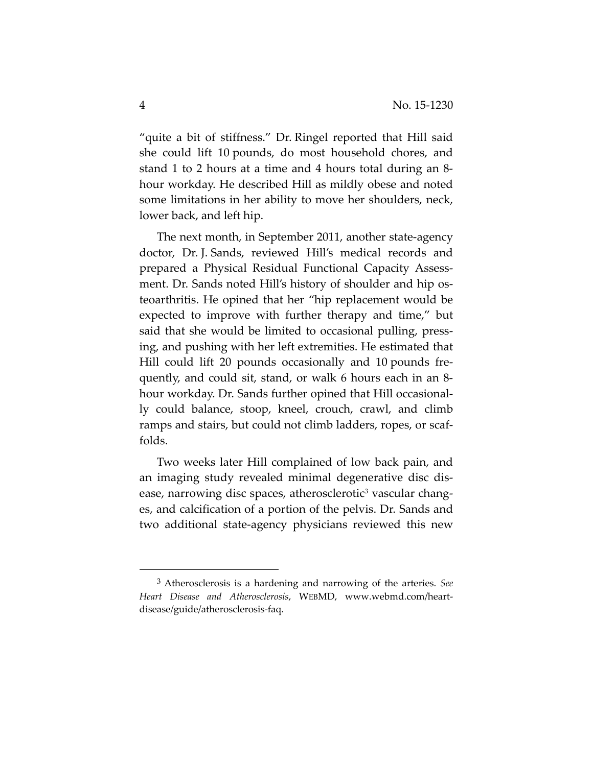"quite a bit of stiffness." Dr. Ringel reported that Hill said she could lift 10 pounds, do most household chores, and stand 1 to 2 hours at a time and 4 hours total during an 8‐ hour workday. He described Hill as mildly obese and noted some limitations in her ability to move her shoulders, neck, lower back, and left hip.

The next month, in September 2011, another state‐agency doctor, Dr. J. Sands, reviewed Hill's medical records and prepared a Physical Residual Functional Capacity Assess‐ ment. Dr. Sands noted Hill's history of shoulder and hip osteoarthritis. He opined that her "hip replacement would be expected to improve with further therapy and time," but said that she would be limited to occasional pulling, press‐ ing, and pushing with her left extremities. He estimated that Hill could lift 20 pounds occasionally and 10 pounds fre‐ quently, and could sit, stand, or walk 6 hours each in an 8‐ hour workday. Dr. Sands further opined that Hill occasionally could balance, stoop, kneel, crouch, crawl, and climb ramps and stairs, but could not climb ladders, ropes, or scaffolds.

Two weeks later Hill complained of low back pain, and an imaging study revealed minimal degenerative disc dis‐ ease, narrowing disc spaces, atherosclerotic<sup>3</sup> vascular changes, and calcification of a portion of the pelvis. Dr. Sands and two additional state‐agency physicians reviewed this new

<sup>3</sup> Atherosclerosis is a hardening and narrowing of the arteries. *See Heart Disease and Atherosclerosis*, WEBMD, www.webmd.com/heart‐ disease/guide/atherosclerosis‐faq.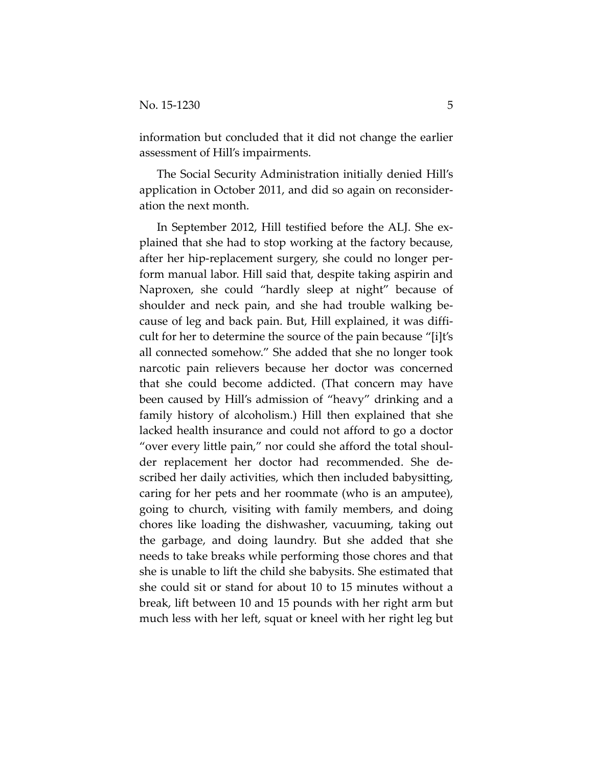information but concluded that it did not change the earlier assessment of Hill's impairments.

The Social Security Administration initially denied Hill's application in October 2011, and did so again on reconsider‐ ation the next month.

In September 2012, Hill testified before the ALJ. She ex‐ plained that she had to stop working at the factory because, after her hip‐replacement surgery, she could no longer per‐ form manual labor. Hill said that, despite taking aspirin and Naproxen, she could "hardly sleep at night" because of shoulder and neck pain, and she had trouble walking be‐ cause of leg and back pain. But, Hill explained, it was diffi‐ cult for her to determine the source of the pain because "[i]t's all connected somehow." She added that she no longer took narcotic pain relievers because her doctor was concerned that she could become addicted. (That concern may have been caused by Hill's admission of "heavy" drinking and a family history of alcoholism.) Hill then explained that she lacked health insurance and could not afford to go a doctor "over every little pain," nor could she afford the total shoul‐ der replacement her doctor had recommended. She de‐ scribed her daily activities, which then included babysitting, caring for her pets and her roommate (who is an amputee), going to church, visiting with family members, and doing chores like loading the dishwasher, vacuuming, taking out the garbage, and doing laundry. But she added that she needs to take breaks while performing those chores and that she is unable to lift the child she babysits. She estimated that she could sit or stand for about 10 to 15 minutes without a break, lift between 10 and 15 pounds with her right arm but much less with her left, squat or kneel with her right leg but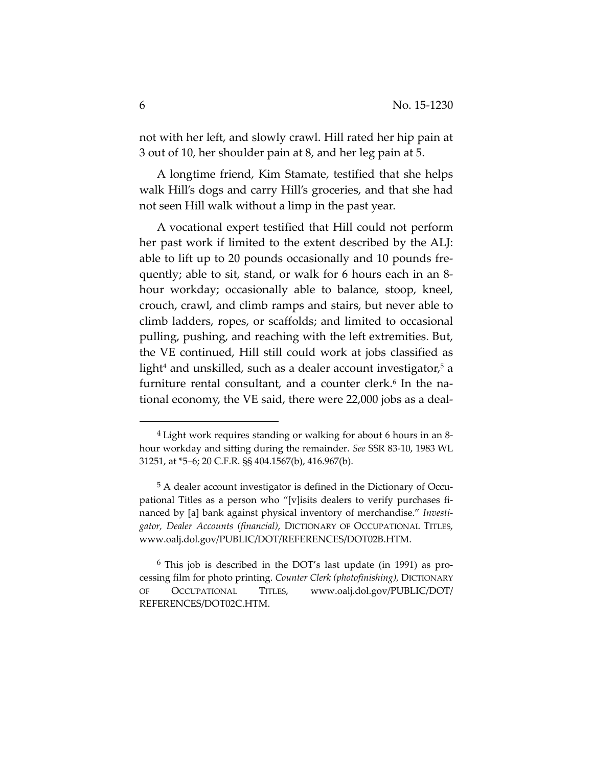not with her left, and slowly crawl. Hill rated her hip pain at 3 out of 10, her shoulder pain at 8, and her leg pain at 5.

A longtime friend, Kim Stamate, testified that she helps walk Hill's dogs and carry Hill's groceries, and that she had not seen Hill walk without a limp in the past year.

A vocational expert testified that Hill could not perform her past work if limited to the extent described by the ALJ: able to lift up to 20 pounds occasionally and 10 pounds fre‐ quently; able to sit, stand, or walk for 6 hours each in an 8‐ hour workday; occasionally able to balance, stoop, kneel, crouch, crawl, and climb ramps and stairs, but never able to climb ladders, ropes, or scaffolds; and limited to occasional pulling, pushing, and reaching with the left extremities. But, the VE continued, Hill still could work at jobs classified as light<sup>4</sup> and unskilled, such as a dealer account investigator,<sup>5</sup> a furniture rental consultant, and a counter clerk.<sup>6</sup> In the national economy, the VE said, there were 22,000 jobs as a deal‐

<sup>4</sup> Light work requires standing or walking for about 6 hours in an 8‐ hour workday and sitting during the remainder. *See* SSR 83‐10, 1983 WL 31251, at \*5–6; 20 C.F.R. §§ 404.1567(b), 416.967(b).

<sup>&</sup>lt;sup>5</sup> A dealer account investigator is defined in the Dictionary of Occupational Titles as a person who "[v]isits dealers to verify purchases fi‐ nanced by [a] bank against physical inventory of merchandise." *Investi‐ gator, Dealer Accounts (financial)*, DICTIONARY OF OCCUPATIONAL TITLES, www.oalj.dol.gov/PUBLIC/DOT/REFERENCES/DOT02B.HTM.

<sup>6</sup> This job is described in the DOT's last update (in 1991) as pro‐ cessing film for photo printing. *Counter Clerk (photofinishing)*, DICTIONARY OF OCCUPATIONAL TITLES, www.oalj.dol.gov/PUBLIC/DOT/ REFERENCES/DOT02C.HTM.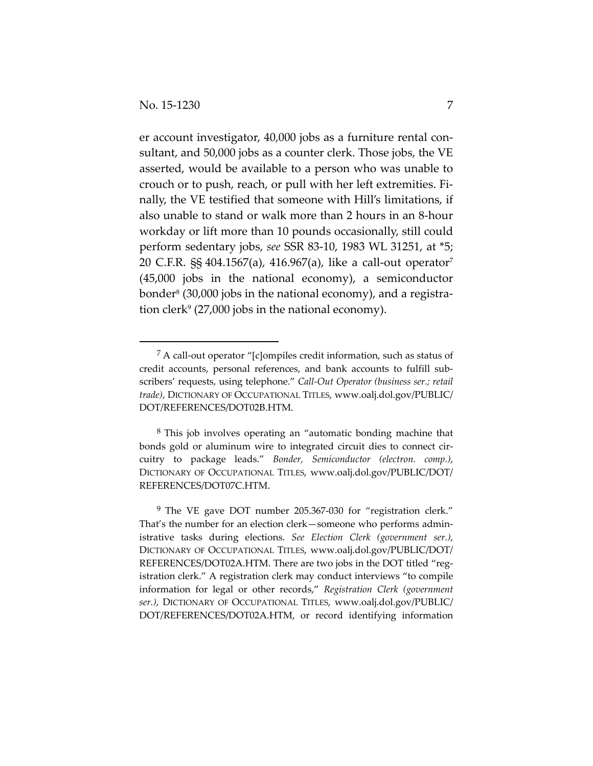er account investigator, 40,000 jobs as a furniture rental consultant, and 50,000 jobs as a counter clerk. Those jobs, the VE asserted, would be available to a person who was unable to crouch or to push, reach, or pull with her left extremities. Fi‐ nally, the VE testified that someone with Hill's limitations, if also unable to stand or walk more than 2 hours in an 8‐hour workday or lift more than 10 pounds occasionally, still could perform sedentary jobs, *see* SSR 83‐10, 1983 WL 31251, at \*5; 20 C.F.R. §§ 404.1567(a), 416.967(a), like a call‐out operator7 (45,000 jobs in the national economy), a semiconductor bonder<sup>8</sup> (30,000 jobs in the national economy), and a registration clerk<sup>9</sup> (27,000 jobs in the national economy).

<sup>7</sup> A call‐out operator "[c]ompiles credit information, such as status of credit accounts, personal references, and bank accounts to fulfill subscribers' requests, using telephone." *Call‐Out Operator (business ser.; retail trade)*, DICTIONARY OF OCCUPATIONAL TITLES, www.oalj.dol.gov/PUBLIC/ DOT/REFERENCES/DOT02B.HTM.

<sup>8</sup> This job involves operating an "automatic bonding machine that bonds gold or aluminum wire to integrated circuit dies to connect circuitry to package leads." *Bonder, Semiconductor (electron. comp.)*, DICTIONARY OF OCCUPATIONAL TITLES, www.oalj.dol.gov/PUBLIC/DOT/ REFERENCES/DOT07C.HTM.

<sup>9</sup> The VE gave DOT number 205.367‐030 for "registration clerk." That's the number for an election clerk—someone who performs admin‐ istrative tasks during elections. *See Election Clerk (government ser.)*, DICTIONARY OF OCCUPATIONAL TITLES, www.oalj.dol.gov/PUBLIC/DOT/ REFERENCES/DOT02A.HTM. There are two jobs in the DOT titled "registration clerk." A registration clerk may conduct interviews "to compile information for legal or other records," *Registration Clerk (government ser.)*, DICTIONARY OF OCCUPATIONAL TITLES, www.oalj.dol.gov/PUBLIC/ DOT/REFERENCES/DOT02A.HTM, or record identifying information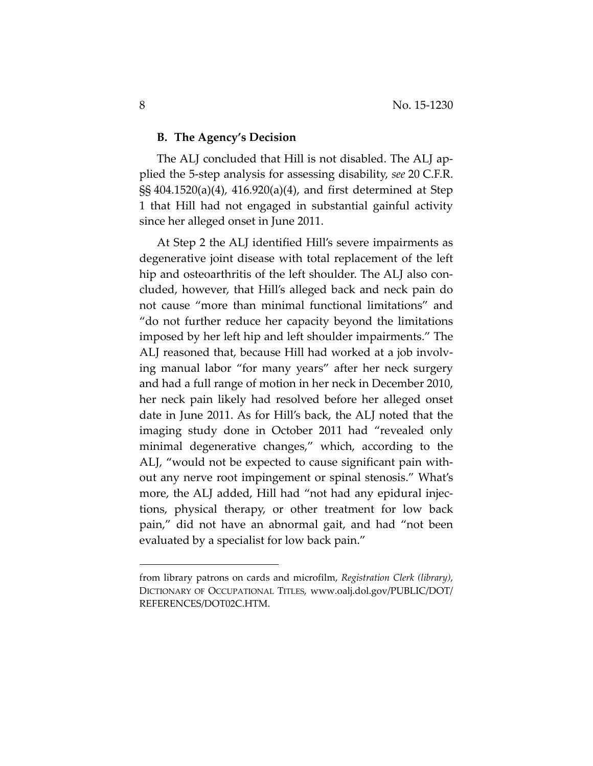#### **B. The Agency's Decision**

The ALJ concluded that Hill is not disabled. The ALJ ap‐ plied the 5‐step analysis for assessing disability, *see* 20 C.F.R. §§ 404.1520(a)(4), 416.920(a)(4), and first determined at Step 1 that Hill had not engaged in substantial gainful activity since her alleged onset in June 2011.

At Step 2 the ALJ identified Hill's severe impairments as degenerative joint disease with total replacement of the left hip and osteoarthritis of the left shoulder. The ALJ also concluded, however, that Hill's alleged back and neck pain do not cause "more than minimal functional limitations" and "do not further reduce her capacity beyond the limitations imposed by her left hip and left shoulder impairments." The ALJ reasoned that, because Hill had worked at a job involv‐ ing manual labor "for many years" after her neck surgery and had a full range of motion in her neck in December 2010, her neck pain likely had resolved before her alleged onset date in June 2011. As for Hill's back, the ALJ noted that the imaging study done in October 2011 had "revealed only minimal degenerative changes," which, according to the ALJ, "would not be expected to cause significant pain with‐ out any nerve root impingement or spinal stenosis." What's more, the ALJ added, Hill had "not had any epidural injections, physical therapy, or other treatment for low back pain," did not have an abnormal gait, and had "not been evaluated by a specialist for low back pain."

from library patrons on cards and microfilm, *Registration Clerk (library)*, DICTIONARY OF OCCUPATIONAL TITLES, www.oalj.dol.gov/PUBLIC/DOT/ REFERENCES/DOT02C.HTM.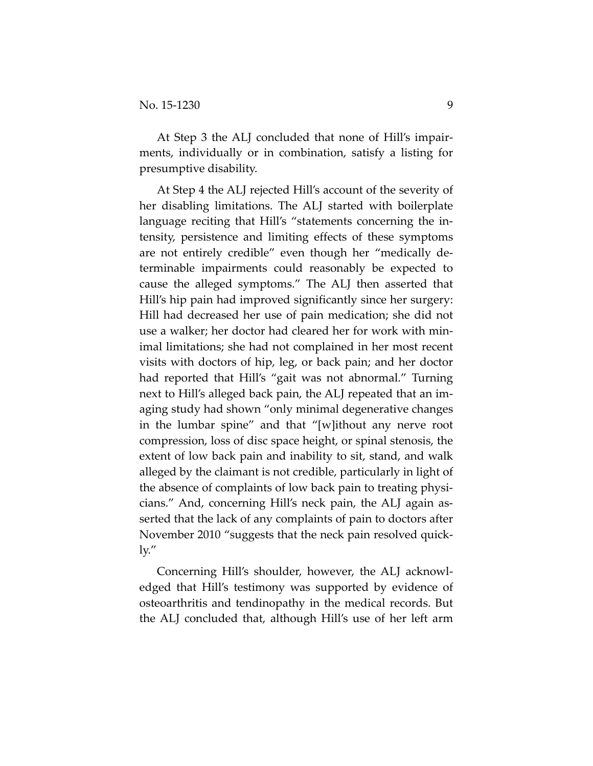At Step 3 the ALJ concluded that none of Hill's impair‐ ments, individually or in combination, satisfy a listing for presumptive disability.

At Step 4 the ALJ rejected Hill's account of the severity of her disabling limitations. The ALJ started with boilerplate language reciting that Hill's "statements concerning the in‐ tensity, persistence and limiting effects of these symptoms are not entirely credible" even though her "medically de‐ terminable impairments could reasonably be expected to cause the alleged symptoms." The ALJ then asserted that Hill's hip pain had improved significantly since her surgery: Hill had decreased her use of pain medication; she did not use a walker; her doctor had cleared her for work with min‐ imal limitations; she had not complained in her most recent visits with doctors of hip, leg, or back pain; and her doctor had reported that Hill's "gait was not abnormal." Turning next to Hill's alleged back pain, the ALJ repeated that an im‐ aging study had shown "only minimal degenerative changes in the lumbar spine" and that "[w]ithout any nerve root compression, loss of disc space height, or spinal stenosis, the extent of low back pain and inability to sit, stand, and walk alleged by the claimant is not credible, particularly in light of the absence of complaints of low back pain to treating physi‐ cians." And, concerning Hill's neck pain, the ALJ again as‐ serted that the lack of any complaints of pain to doctors after November 2010 "suggests that the neck pain resolved quick‐ ly."

Concerning Hill's shoulder, however, the ALJ acknowl‐ edged that Hill's testimony was supported by evidence of osteoarthritis and tendinopathy in the medical records. But the ALJ concluded that, although Hill's use of her left arm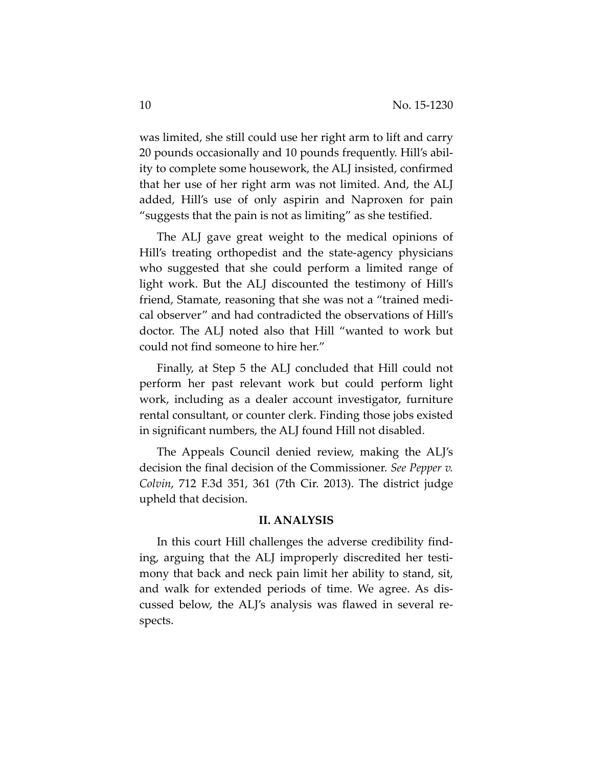was limited, she still could use her right arm to lift and carry 20 pounds occasionally and 10 pounds frequently. Hill's abil‐ ity to complete some housework, the ALJ insisted, confirmed that her use of her right arm was not limited. And, the ALJ added, Hill's use of only aspirin and Naproxen for pain "suggests that the pain is not as limiting" as she testified.

The ALJ gave great weight to the medical opinions of Hill's treating orthopedist and the state‐agency physicians who suggested that she could perform a limited range of light work. But the ALJ discounted the testimony of Hill's friend, Stamate, reasoning that she was not a "trained medi‐ cal observer" and had contradicted the observations of Hill's doctor. The ALJ noted also that Hill "wanted to work but could not find someone to hire her."

Finally, at Step 5 the ALJ concluded that Hill could not perform her past relevant work but could perform light work, including as a dealer account investigator, furniture rental consultant, or counter clerk. Finding those jobs existed in significant numbers, the ALJ found Hill not disabled.

The Appeals Council denied review, making the ALJ's decision the final decision of the Commissioner. *See Pepper v. Colvin*, 712 F.3d 351, 361 (7th Cir. 2013). The district judge upheld that decision.

#### **II. ANALYSIS**

In this court Hill challenges the adverse credibility find‐ ing, arguing that the ALJ improperly discredited her testi‐ mony that back and neck pain limit her ability to stand, sit, and walk for extended periods of time. We agree. As dis‐ cussed below, the ALJ's analysis was flawed in several re‐ spects.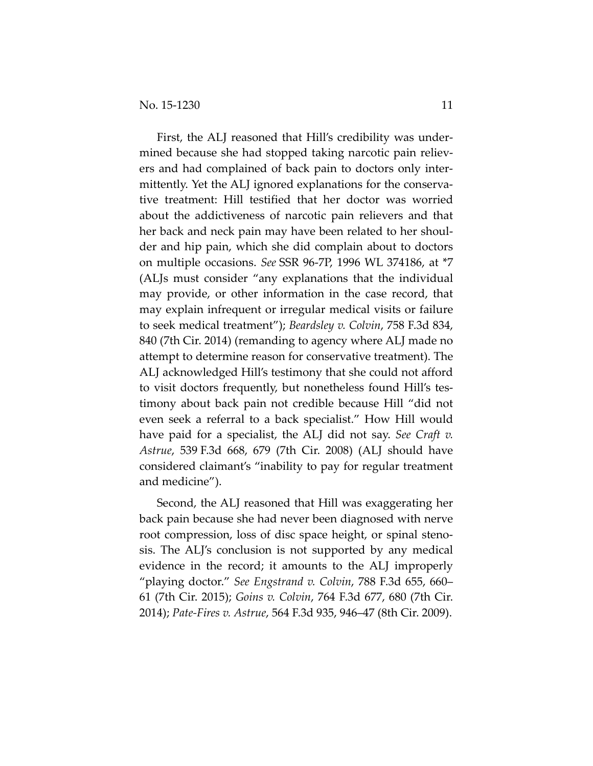First, the ALJ reasoned that Hill's credibility was under‐ mined because she had stopped taking narcotic pain relievers and had complained of back pain to doctors only inter‐ mittently. Yet the ALJ ignored explanations for the conserva‐ tive treatment: Hill testified that her doctor was worried about the addictiveness of narcotic pain relievers and that her back and neck pain may have been related to her shoul‐ der and hip pain, which she did complain about to doctors on multiple occasions. *See* SSR 96‐7P, 1996 WL 374186, at \*7 (ALJs must consider "any explanations that the individual may provide, or other information in the case record, that may explain infrequent or irregular medical visits or failure to seek medical treatment"); *Beardsley v. Colvin*, 758 F.3d 834, 840 (7th Cir. 2014) (remanding to agency where ALJ made no attempt to determine reason for conservative treatment). The ALJ acknowledged Hill's testimony that she could not afford to visit doctors frequently, but nonetheless found Hill's tes‐ timony about back pain not credible because Hill "did not even seek a referral to a back specialist." How Hill would have paid for a specialist, the ALJ did not say. *See Craft v. Astrue*, 539 F.3d 668, 679 (7th Cir. 2008) (ALJ should have considered claimant's "inability to pay for regular treatment and medicine").

Second, the ALJ reasoned that Hill was exaggerating her back pain because she had never been diagnosed with nerve root compression, loss of disc space height, or spinal steno‐ sis. The ALJ's conclusion is not supported by any medical evidence in the record; it amounts to the ALJ improperly "playing doctor." *See Engstrand v. Colvin*, 788 F.3d 655, 660– 61 (7th Cir. 2015); *Goins v. Colvin*, 764 F.3d 677, 680 (7th Cir. 2014); *Pate‐Fires v. Astrue*, 564 F.3d 935, 946–47 (8th Cir. 2009).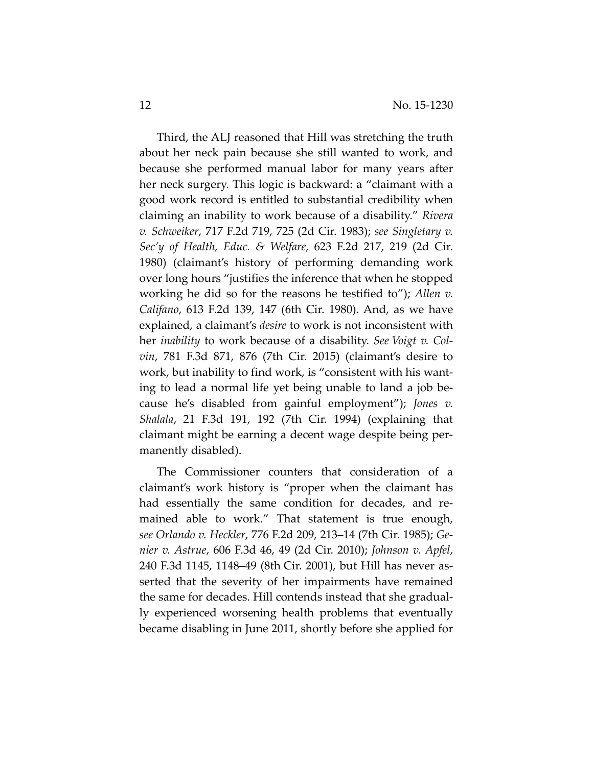Third, the ALJ reasoned that Hill was stretching the truth about her neck pain because she still wanted to work, and because she performed manual labor for many years after her neck surgery. This logic is backward: a "claimant with a good work record is entitled to substantial credibility when claiming an inability to work because of a disability." *Rivera v. Schweiker*, 717 F.2d 719, 725 (2d Cir. 1983); *see Singletary v. Sec'y of Health, Educ. & Welfare*, 623 F.2d 217, 219 (2d Cir. 1980) (claimant's history of performing demanding work over long hours "justifies the inference that when he stopped working he did so for the reasons he testified to"); *Allen v. Califano*, 613 F.2d 139, 147 (6th Cir. 1980). And, as we have explained, a claimant's *desire* to work is not inconsistent with her *inability* to work because of a disability. *See Voigt v. Col‐ vin*, 781 F.3d 871, 876 (7th Cir. 2015) (claimant's desire to work, but inability to find work, is "consistent with his wanting to lead a normal life yet being unable to land a job be‐ cause he's disabled from gainful employment"); *Jones v. Shalala*, 21 F.3d 191, 192 (7th Cir. 1994) (explaining that claimant might be earning a decent wage despite being per‐ manently disabled).

The Commissioner counters that consideration of a claimant's work history is "proper when the claimant has had essentially the same condition for decades, and re‐ mained able to work." That statement is true enough, *see Orlando v. Heckler*, 776 F.2d 209, 213–14 (7th Cir. 1985); *Ge‐ nier v. Astrue*, 606 F.3d 46, 49 (2d Cir. 2010); *Johnson v. Apfel*, 240 F.3d 1145, 1148–49 (8th Cir. 2001), but Hill has never as‐ serted that the severity of her impairments have remained the same for decades. Hill contends instead that she gradual‐ ly experienced worsening health problems that eventually became disabling in June 2011, shortly before she applied for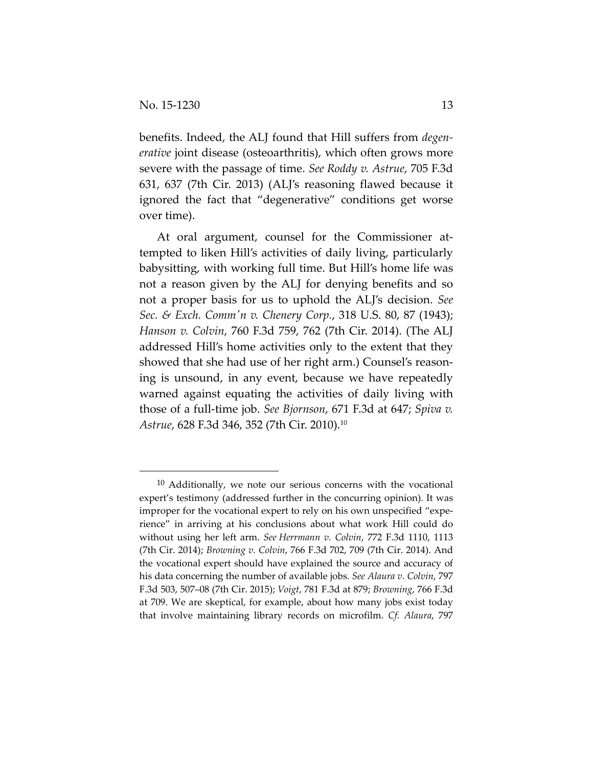benefits. Indeed, the ALJ found that Hill suffers from *degen‐ erative* joint disease (osteoarthritis), which often grows more severe with the passage of time. *See Roddy v. Astrue*, 705 F.3d 631, 637 (7th Cir. 2013) (ALJ's reasoning flawed because it ignored the fact that "degenerative" conditions get worse over time).

At oral argument, counsel for the Commissioner attempted to liken Hill's activities of daily living, particularly babysitting, with working full time. But Hill's home life was not a reason given by the ALJ for denying benefits and so not a proper basis for us to uphold the ALJ's decision. *See Sec. & Exch. Commʹn v. Chenery Corp.*, 318 U.S. 80, 87 (1943); *Hanson v. Colvin*, 760 F.3d 759, 762 (7th Cir. 2014). (The ALJ addressed Hill's home activities only to the extent that they showed that she had use of her right arm.) Counsel's reason‐ ing is unsound, in any event, because we have repeatedly warned against equating the activities of daily living with those of a full‐time job. *See Bjornson*, 671 F.3d at 647; *Spiva v. Astrue*, 628 F.3d 346, 352 (7th Cir. 2010).10

 $10$  Additionally, we note our serious concerns with the vocational expert's testimony (addressed further in the concurring opinion). It was improper for the vocational expert to rely on his own unspecified "experience" in arriving at his conclusions about what work Hill could do without using her left arm. *See Herrmann v. Colvin*, 772 F.3d 1110, 1113 (7th Cir. 2014); *Browning v. Colvin*, 766 F.3d 702, 709 (7th Cir. 2014). And the vocational expert should have explained the source and accuracy of his data concerning the number of available jobs. *See Alaura v. Colvin*, 797 F.3d 503, 507–08 (7th Cir. 2015); *Voigt*, 781 F.3d at 879; *Browning*, 766 F.3d at 709. We are skeptical, for example, about how many jobs exist today that involve maintaining library records on microfilm. *Cf. Alaura*, 797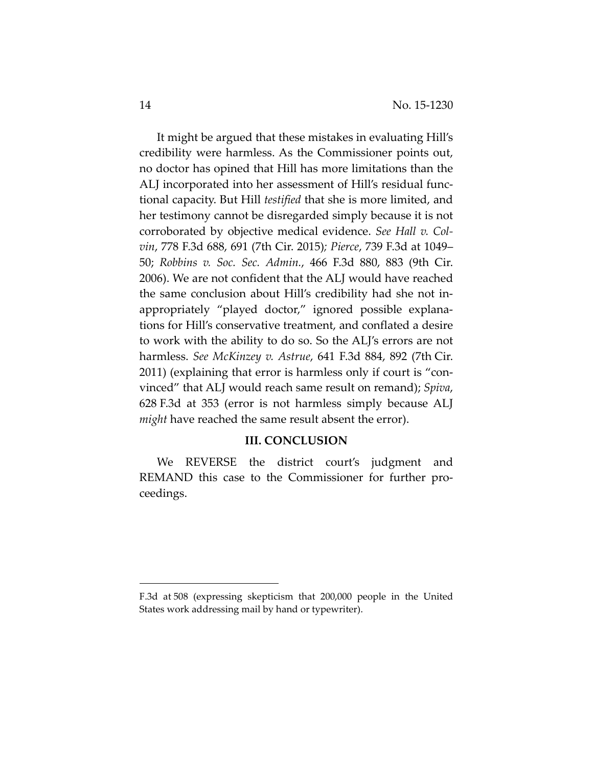It might be argued that these mistakes in evaluating Hill's credibility were harmless. As the Commissioner points out, no doctor has opined that Hill has more limitations than the ALJ incorporated into her assessment of Hill's residual func‐ tional capacity. But Hill *testified* that she is more limited, and her testimony cannot be disregarded simply because it is not corroborated by objective medical evidence. *See Hall v. Col‐ vin*, 778 F.3d 688, 691 (7th Cir. 2015)*; Pierce*, 739 F.3d at 1049– 50; *Robbins v. Soc. Sec. Admin.*, 466 F.3d 880, 883 (9th Cir. 2006). We are not confident that the ALJ would have reached the same conclusion about Hill's credibility had she not in‐ appropriately "played doctor," ignored possible explana‐ tions for Hill's conservative treatment, and conflated a desire to work with the ability to do so. So the ALJ's errors are not harmless. *See McKinzey v. Astrue*, 641 F.3d 884, 892 (7th Cir. 2011) (explaining that error is harmless only if court is "con‐ vinced" that ALJ would reach same result on remand); *Spiva*, 628 F.3d at 353 (error is not harmless simply because ALJ *might* have reached the same result absent the error).

## **III. CONCLUSION**

We REVERSE the district court's judgment and REMAND this case to the Commissioner for further pro‐ ceedings.

F.3d at 508 (expressing skepticism that 200,000 people in the United States work addressing mail by hand or typewriter).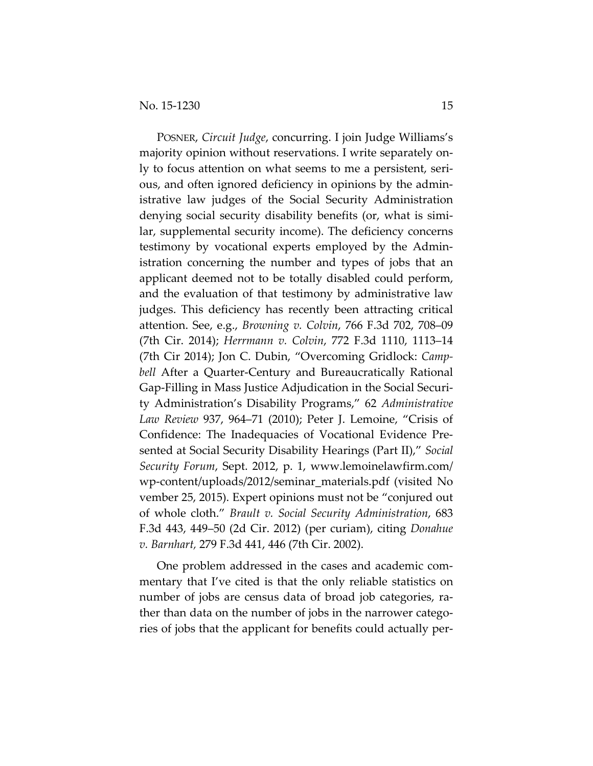POSNER, *Circuit Judge*, concurring. I join Judge Williams's majority opinion without reservations. I write separately on‐ ly to focus attention on what seems to me a persistent, seri‐ ous, and often ignored deficiency in opinions by the admin‐ istrative law judges of the Social Security Administration denying social security disability benefits (or, what is simi‐ lar, supplemental security income). The deficiency concerns testimony by vocational experts employed by the Admin‐ istration concerning the number and types of jobs that an applicant deemed not to be totally disabled could perform, and the evaluation of that testimony by administrative law judges. This deficiency has recently been attracting critical attention. See, e.g., *Browning v. Colvin*, 766 F.3d 702, 708–09 (7th Cir. 2014); *Herrmann v. Colvin*, 772 F.3d 1110, 1113–14 (7th Cir 2014); Jon C. Dubin, "Overcoming Gridlock: *Camp‐ bell* After a Quarter‐Century and Bureaucratically Rational Gap‐Filling in Mass Justice Adjudication in the Social Securi‐ ty Administration's Disability Programs," 62 *Administrative Law Review* 937, 964–71 (2010); Peter J. Lemoine, "Crisis of Confidence: The Inadequacies of Vocational Evidence Pre‐ sented at Social Security Disability Hearings (Part II)," *Social Security Forum*, Sept. 2012, p. 1, www.lemoinelawfirm.com/ wp‐content/uploads/2012/seminar\_materials.pdf (visited No vember 25, 2015). Expert opinions must not be "conjured out of whole cloth." *Brault v. Social Security Administration*, 683 F.3d 443, 449–50 (2d Cir. 2012) (per curiam), citing *Donahue v. Barnhart,* 279 F.3d 441, 446 (7th Cir. 2002).

One problem addressed in the cases and academic com‐ mentary that I've cited is that the only reliable statistics on number of jobs are census data of broad job categories, rather than data on the number of jobs in the narrower catego‐ ries of jobs that the applicant for benefits could actually per‐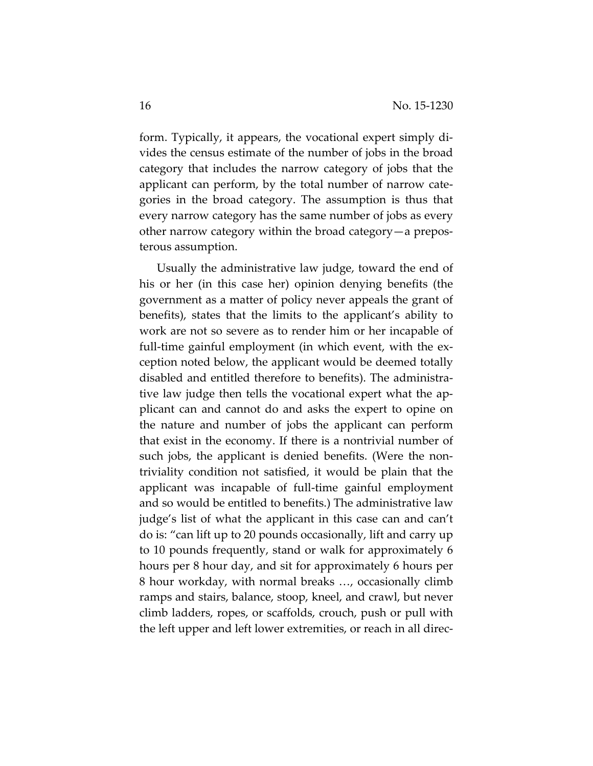form. Typically, it appears, the vocational expert simply di‐ vides the census estimate of the number of jobs in the broad category that includes the narrow category of jobs that the applicant can perform, by the total number of narrow cate‐ gories in the broad category. The assumption is thus that every narrow category has the same number of jobs as every other narrow category within the broad category—a prepos‐ terous assumption.

Usually the administrative law judge, toward the end of his or her (in this case her) opinion denying benefits (the government as a matter of policy never appeals the grant of benefits), states that the limits to the applicant's ability to work are not so severe as to render him or her incapable of full-time gainful employment (in which event, with the exception noted below, the applicant would be deemed totally disabled and entitled therefore to benefits). The administra‐ tive law judge then tells the vocational expert what the ap‐ plicant can and cannot do and asks the expert to opine on the nature and number of jobs the applicant can perform that exist in the economy. If there is a nontrivial number of such jobs, the applicant is denied benefits. (Were the non‐ triviality condition not satisfied, it would be plain that the applicant was incapable of full‐time gainful employment and so would be entitled to benefits.) The administrative law judge's list of what the applicant in this case can and can't do is: "can lift up to 20 pounds occasionally, lift and carry up to 10 pounds frequently, stand or walk for approximately 6 hours per 8 hour day, and sit for approximately 6 hours per 8 hour workday, with normal breaks …, occasionally climb ramps and stairs, balance, stoop, kneel, and crawl, but never climb ladders, ropes, or scaffolds, crouch, push or pull with the left upper and left lower extremities, or reach in all direc‐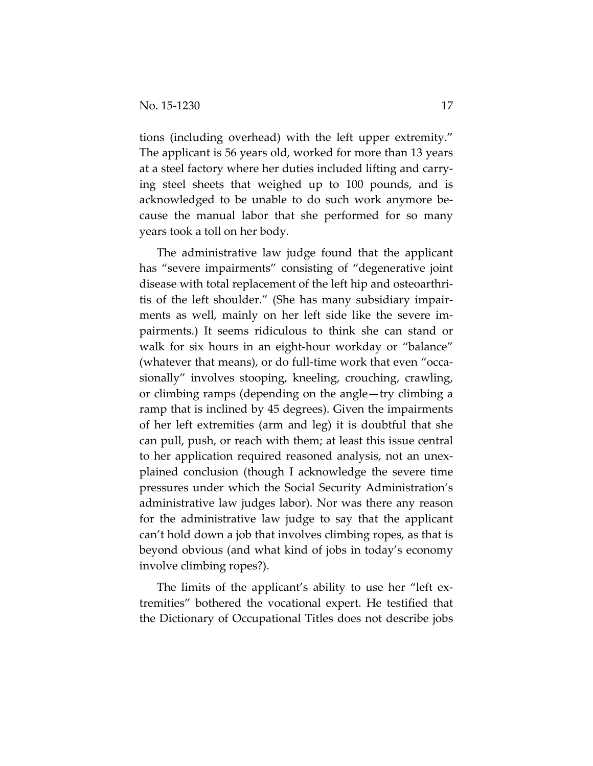tions (including overhead) with the left upper extremity." The applicant is 56 years old, worked for more than 13 years at a steel factory where her duties included lifting and carry‐ ing steel sheets that weighed up to 100 pounds, and is acknowledged to be unable to do such work anymore be‐ cause the manual labor that she performed for so many years took a toll on her body.

The administrative law judge found that the applicant has "severe impairments" consisting of "degenerative joint disease with total replacement of the left hip and osteoarthri‐ tis of the left shoulder." (She has many subsidiary impair‐ ments as well, mainly on her left side like the severe im‐ pairments.) It seems ridiculous to think she can stand or walk for six hours in an eight-hour workday or "balance" (whatever that means), or do full‐time work that even "occa‐ sionally" involves stooping, kneeling, crouching, crawling, or climbing ramps (depending on the angle—try climbing a ramp that is inclined by 45 degrees). Given the impairments of her left extremities (arm and leg) it is doubtful that she can pull, push, or reach with them; at least this issue central to her application required reasoned analysis, not an unex‐ plained conclusion (though I acknowledge the severe time pressures under which the Social Security Administration's administrative law judges labor). Nor was there any reason for the administrative law judge to say that the applicant can't hold down a job that involves climbing ropes, as that is beyond obvious (and what kind of jobs in today's economy involve climbing ropes?).

The limits of the applicant's ability to use her "left ex‐ tremities" bothered the vocational expert. He testified that the Dictionary of Occupational Titles does not describe jobs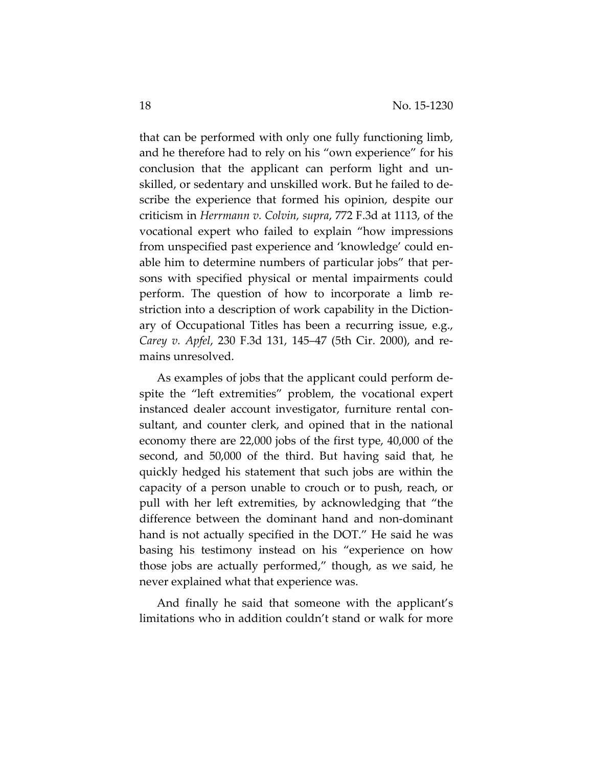that can be performed with only one fully functioning limb, and he therefore had to rely on his "own experience" for his conclusion that the applicant can perform light and un‐ skilled, or sedentary and unskilled work. But he failed to de‐ scribe the experience that formed his opinion, despite our criticism in *Herrmann v. Colvin, supra*, 772 F.3d at 1113, of the vocational expert who failed to explain "how impressions from unspecified past experience and 'knowledge' could en‐ able him to determine numbers of particular jobs" that per‐ sons with specified physical or mental impairments could perform. The question of how to incorporate a limb re‐ striction into a description of work capability in the Diction‐ ary of Occupational Titles has been a recurring issue, e.g., *Carey v. Apfel*, 230 F.3d 131, 145–47 (5th Cir. 2000), and re‐ mains unresolved.

As examples of jobs that the applicant could perform de‐ spite the "left extremities" problem, the vocational expert instanced dealer account investigator, furniture rental consultant, and counter clerk, and opined that in the national economy there are 22,000 jobs of the first type, 40,000 of the second, and 50,000 of the third. But having said that, he quickly hedged his statement that such jobs are within the capacity of a person unable to crouch or to push, reach, or pull with her left extremities, by acknowledging that "the difference between the dominant hand and non‐dominant hand is not actually specified in the DOT." He said he was basing his testimony instead on his "experience on how those jobs are actually performed," though, as we said, he never explained what that experience was.

And finally he said that someone with the applicant's limitations who in addition couldn't stand or walk for more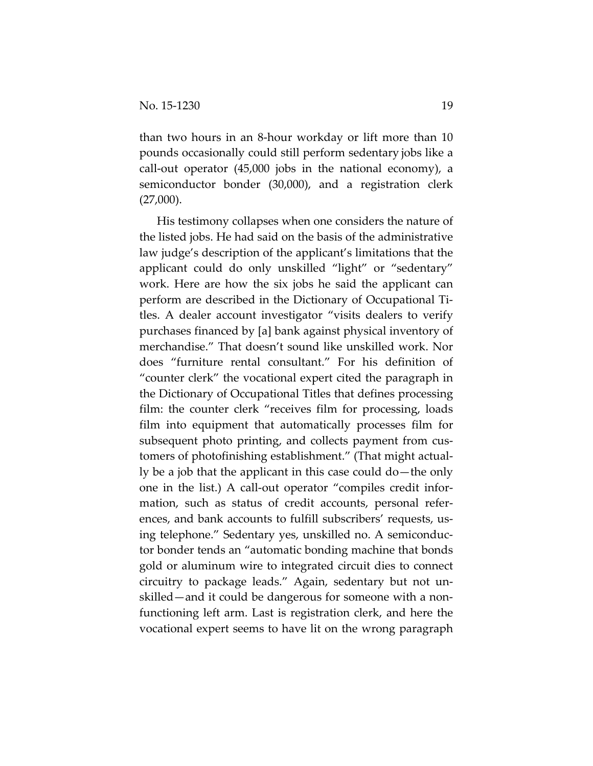than two hours in an 8‐hour workday or lift more than 10 pounds occasionally could still perform sedentary jobs like a call‐out operator (45,000 jobs in the national economy), a semiconductor bonder (30,000), and a registration clerk  $(27,000)$ .

His testimony collapses when one considers the nature of the listed jobs. He had said on the basis of the administrative law judge's description of the applicant's limitations that the applicant could do only unskilled "light" or "sedentary" work. Here are how the six jobs he said the applicant can perform are described in the Dictionary of Occupational Ti‐ tles. A dealer account investigator "visits dealers to verify purchases financed by [a] bank against physical inventory of merchandise." That doesn't sound like unskilled work. Nor does "furniture rental consultant." For his definition of "counter clerk" the vocational expert cited the paragraph in the Dictionary of Occupational Titles that defines processing film: the counter clerk "receives film for processing, loads film into equipment that automatically processes film for subsequent photo printing, and collects payment from cus‐ tomers of photofinishing establishment." (That might actual‐ ly be a job that the applicant in this case could do—the only one in the list.) A call‐out operator "compiles credit infor‐ mation, such as status of credit accounts, personal refer‐ ences, and bank accounts to fulfill subscribers' requests, us‐ ing telephone." Sedentary yes, unskilled no. A semiconduc‐ tor bonder tends an "automatic bonding machine that bonds gold or aluminum wire to integrated circuit dies to connect circuitry to package leads." Again, sedentary but not un‐ skilled—and it could be dangerous for someone with a non‐ functioning left arm. Last is registration clerk, and here the vocational expert seems to have lit on the wrong paragraph